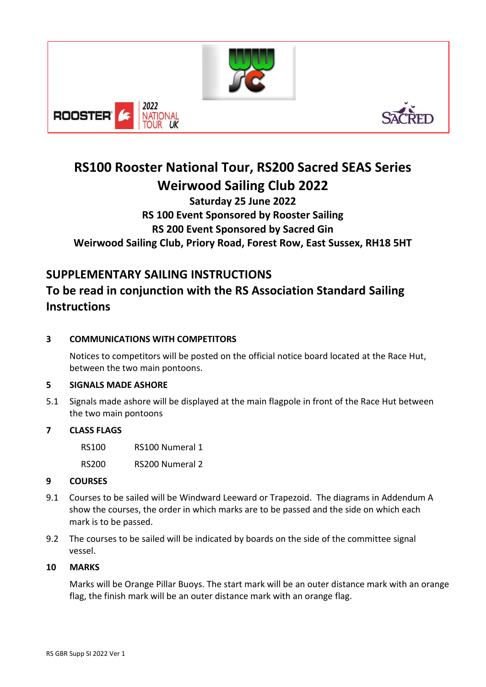





# **RS100 Rooster National Tour, RS200 Sacred SEAS Series Weirwood Sailing Club 2022**

### **Saturday 25 June 2022 RS 100 Event Sponsored by Rooster Sailing RS 200 Event Sponsored by Sacred Gin Weirwood Sailing Club, Priory Road, Forest Row, East Sussex, RH18 5HT**

## **SUPPLEMENTARY SAILING INSTRUCTIONS**

## **To be read in conjunction with the RS Association Standard Sailing Instructions**

#### **3 COMMUNICATIONS WITH COMPETITORS**

Notices to competitors will be posted on the official notice board located at the Race Hut, between the two main pontoons.

#### **5 SIGNALS MADE ASHORE**

5.1 Signals made ashore will be displayed at the main flagpole in front of the Race Hut between the two main pontoons

#### **7 CLASS FLAGS**

RS100 RS100 Numeral 1 RS200 RS200 Numeral 2

#### **9 COURSES**

- 9.1 Courses to be sailed will be Windward Leeward or Trapezoid. The diagrams in Addendum A show the courses, the order in which marks are to be passed and the side on which each mark is to be passed.
- 9.2 The courses to be sailed will be indicated by boards on the side of the committee signal vessel.

#### **10 MARKS**

Marks will be Orange Pillar Buoys. The start mark will be an outer distance mark with an orange flag, the finish mark will be an outer distance mark with an orange flag.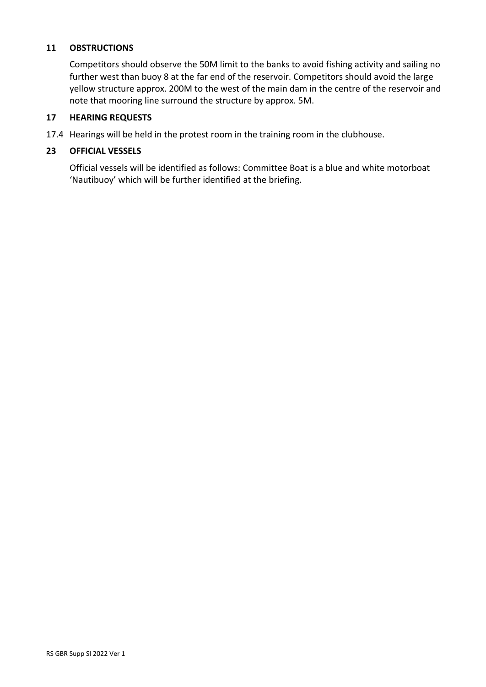#### **11 OBSTRUCTIONS**

Competitors should observe the 50M limit to the banks to avoid fishing activity and sailing no further west than buoy 8 at the far end of the reservoir. Competitors should avoid the large yellow structure approx. 200M to the west of the main dam in the centre of the reservoir and note that mooring line surround the structure by approx. 5M.

#### **17 HEARING REQUESTS**

17.4 Hearings will be held in the protest room in the training room in the clubhouse.

#### **23 OFFICIAL VESSELS**

Official vessels will be identified as follows: Committee Boat is a blue and white motorboat 'Nautibuoy' which will be further identified at the briefing.